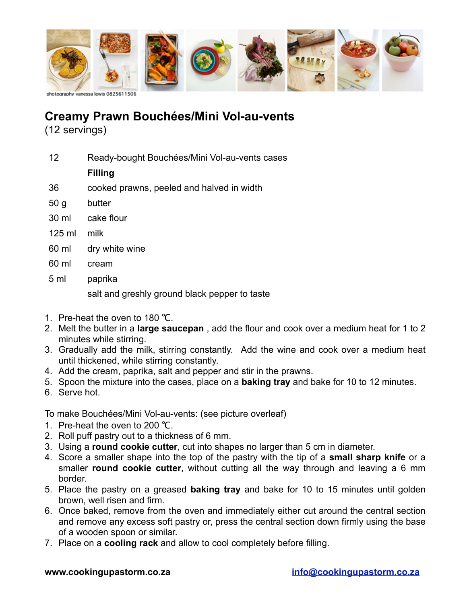

## **Creamy Prawn Bouchées/Mini Vol-au-vents**

(12 servings)

12 Ready-bought Bouchées/Mini Vol-au-vents cases

## **Filling**

- 36 cooked prawns, peeled and halved in width
- 50 g butter
- 30 ml cake flour
- 125 ml milk
- 60 ml dry white wine
- 60 ml cream
- 5 ml paprika

salt and greshly ground black pepper to taste

- 1. Pre-heat the oven to 180 ℃.
- 2. Melt the butter in a **large saucepan** , add the flour and cook over a medium heat for 1 to 2 minutes while stirring.
- 3. Gradually add the milk, stirring constantly. Add the wine and cook over a medium heat until thickened, while stirring constantly.
- 4. Add the cream, paprika, salt and pepper and stir in the prawns.
- 5. Spoon the mixture into the cases, place on a **baking tray** and bake for 10 to 12 minutes.
- 6. Serve hot.

To make Bouchées/Mini Vol-au-vents: (see picture overleaf)

- 1. Pre-heat the oven to 200 ℃.
- 2. Roll puff pastry out to a thickness of 6 mm.
- 3. Using a **round cookie cutter**, cut into shapes no larger than 5 cm in diameter.
- 4. Score a smaller shape into the top of the pastry with the tip of a **small sharp knife** or a smaller **round cookie cutter**, without cutting all the way through and leaving a 6 mm border.
- 5. Place the pastry on a greased **baking tray** and bake for 10 to 15 minutes until golden brown, well risen and firm.
- 6. Once baked, remove from the oven and immediately either cut around the central section and remove any excess soft pastry or, press the central section down firmly using the base of a wooden spoon or similar.
- 7. Place on a **cooling rack** and allow to cool completely before filling.